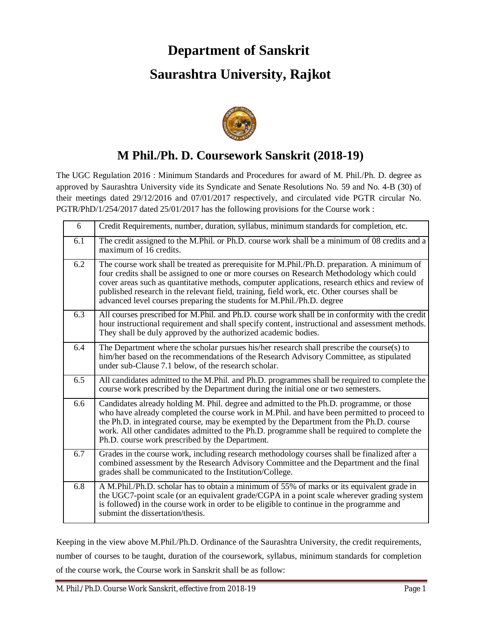# **Department of Sanskrit**

## **Saurashtra University, Rajkot**



### **M Phil./Ph. D. Coursework Sanskrit (2018-19)**

The UGC Regulation 2016 : Minimum Standards and Procedures for award of M. Phil./Ph. D. degree as approved by Saurashtra University vide its Syndicate and Senate Resolutions No. 59 and No. 4-B (30) of their meetings dated 29/12/2016 and 07/01/2017 respectively, and circulated vide PGTR circular No. PGTR/PhD/1/254/2017 dated 25/01/2017 has the following provisions for the Course work :

| 6                | Credit Requirements, number, duration, syllabus, minimum standards for completion, etc.                                                                                                                                                                                                                                                                                                                                                                              |
|------------------|----------------------------------------------------------------------------------------------------------------------------------------------------------------------------------------------------------------------------------------------------------------------------------------------------------------------------------------------------------------------------------------------------------------------------------------------------------------------|
| 6.1              | The credit assigned to the M.Phil. or Ph.D. course work shall be a minimum of 08 credits and a<br>maximum of 16 credits.                                                                                                                                                                                                                                                                                                                                             |
| 6.2              | The course work shall be treated as prerequisite for M.Phil./Ph.D. preparation. A minimum of<br>four credits shall be assigned to one or more courses on Research Methodology which could<br>cover areas such as quantitative methods, computer applications, research ethics and review of<br>published research in the relevant field, training, field work, etc. Other courses shall be<br>advanced level courses preparing the students for M.Phil./Ph.D. degree |
| $\overline{6.3}$ | All courses prescribed for M.Phil. and Ph.D. course work shall be in conformity with the credit<br>hour instructional requirement and shall specify content, instructional and assessment methods.<br>They shall be duly approved by the authorized academic bodies.                                                                                                                                                                                                 |
| 6.4              | The Department where the scholar pursues his/her research shall prescribe the course(s) to<br>him/her based on the recommendations of the Research Advisory Committee, as stipulated<br>under sub-Clause 7.1 below, of the research scholar.                                                                                                                                                                                                                         |
| 6.5              | All candidates admitted to the M.Phil. and Ph.D. programmes shall be required to complete the<br>course work prescribed by the Department during the initial one or two semesters.                                                                                                                                                                                                                                                                                   |
| 6.6              | Candidates already holding M. Phil. degree and admitted to the Ph.D. programme, or those<br>who have already completed the course work in M.Phil. and have been permitted to proceed to<br>the Ph.D. in integrated course, may be exempted by the Department from the Ph.D. course<br>work. All other candidates admitted to the Ph.D. programme shall be required to complete the<br>Ph.D. course work prescribed by the Department.                                |
| 6.7              | Grades in the course work, including research methodology courses shall be finalized after a<br>combined assessment by the Research Advisory Committee and the Department and the final<br>grades shall be communicated to the Institution/College.                                                                                                                                                                                                                  |
| 6.8              | A M.Phil./Ph.D. scholar has to obtain a minimum of 55% of marks or its equivalent grade in<br>the UGC7-point scale (or an equivalent grade/CGPA in a point scale wherever grading system<br>is followed) in the course work in order to be eligible to continue in the programme and<br>submint the dissertation/thesis.                                                                                                                                             |

Keeping in the view above M.Phil./Ph.D. Ordinance of the Saurashtra University, the credit requirements, number of courses to be taught, duration of the coursework, syllabus, minimum standards for completion of the course work, the Course work in Sanskrit shall be as follow: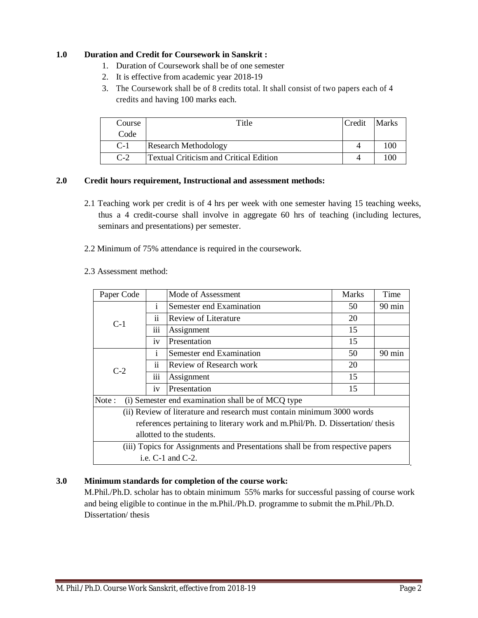#### **1.0 Duration and Credit for Coursework in Sanskrit :**

- 1. Duration of Coursework shall be of one semester
- 2. It is effective from academic year 2018-19
- 3. The Coursework shall be of 8 credits total. It shall consist of two papers each of 4 credits and having 100 marks each.

| Course | Title                                         | Credit | <b>Marks</b> |
|--------|-----------------------------------------------|--------|--------------|
| Code   |                                               |        |              |
| $C-1$  | <b>Research Methodology</b>                   |        |              |
| $C-2$  | <b>Textual Criticism and Critical Edition</b> |        |              |

#### **2.0 Credit hours requirement, Instructional and assessment methods:**

- 2.1 Teaching work per credit is of 4 hrs per week with one semester having 15 teaching weeks, thus a 4 credit-course shall involve in aggregate 60 hrs of teaching (including lectures, seminars and presentations) per semester.
- 2.2 Minimum of 75% attendance is required in the coursework.

#### 2.3 Assessment method:

| Paper Code                                                                     |              | Mode of Assessment       | <b>Marks</b> | Time             |  |  |
|--------------------------------------------------------------------------------|--------------|--------------------------|--------------|------------------|--|--|
|                                                                                | $\mathbf{1}$ | Semester end Examination | 50           | $90 \text{ min}$ |  |  |
| $C-1$                                                                          | 11           | Review of Literature     | 20           |                  |  |  |
|                                                                                | 111          | Assignment               | 15           |                  |  |  |
|                                                                                | 1V           | Presentation             | 15           |                  |  |  |
|                                                                                | $\mathbf{1}$ | Semester end Examination | 50           | $90 \text{ min}$ |  |  |
| $C-2$                                                                          | 11           | Review of Research work  | 20           |                  |  |  |
|                                                                                | .<br>111     | Assignment               | 15           |                  |  |  |
|                                                                                | 1V           | Presentation             | 15           |                  |  |  |
| Note:<br>(i) Semester end examination shall be of MCQ type                     |              |                          |              |                  |  |  |
| (ii) Review of literature and research must contain minimum 3000 words         |              |                          |              |                  |  |  |
| references pertaining to literary work and m.Phil/Ph. D. Dissertation/ thesis  |              |                          |              |                  |  |  |
| allotted to the students.                                                      |              |                          |              |                  |  |  |
| (iii) Topics for Assignments and Presentations shall be from respective papers |              |                          |              |                  |  |  |
| i.e. $C-1$ and $C-2$ .                                                         |              |                          |              |                  |  |  |

#### **3.0 Minimum standards for completion of the course work:**

M.Phil./Ph.D. scholar has to obtain minimum 55% marks for successful passing of course work and being eligible to continue in the m.Phil./Ph.D. programme to submit the m.Phil./Ph.D. Dissertation/ thesis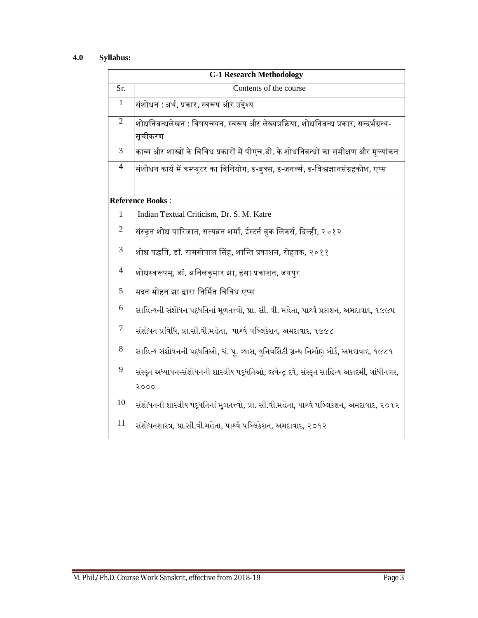### **4.0 Syllabus:**

| <b>C-1 Research Methodology</b> |                                                                                              |  |
|---------------------------------|----------------------------------------------------------------------------------------------|--|
| Sr.                             | Contents of the course                                                                       |  |
| 1                               | संशोधन : अर्थ, प्रकार, स्वरूप और उद्देश्य                                                    |  |
| $\overline{2}$                  | शोधनिबन्धलेखन : विषयचयन, स्वरूप और लेख्यप्रक्रिया, शोधनिबन्ध प्रकार, सन्दर्भग्रन्थ-          |  |
|                                 | सूचीकरण                                                                                      |  |
| $\overline{3}$                  | काव्य और शास्त्रों के विविध प्रकारों में पीएच.डी. के शोधनिबन्धों का समीक्षण और मूल्यांकन     |  |
| 4                               | संशोधन कार्य में कम्प्यूटर का विनियोग, इ-बुक्स, इ-जनर्ल्स, इ-विश्वज्ञानसंग्रहकोश, एप्स       |  |
|                                 |                                                                                              |  |
|                                 | Reference Books:                                                                             |  |
| 1                               | Indian Textual Criticism, Dr. S. M. Katre                                                    |  |
| $\overline{c}$                  | संस्कृत शोध पारिजात, सत्यव्रत शर्मा, ईस्टर्न बुक लिंकर्स, दिल्ही, २०१२                       |  |
| 3                               | शोध पद्धति, डॉ. रामगोपाल सिंह, शान्ति प्रकाशन, रोहतक, २०११                                   |  |
| $\overline{4}$                  | शोधस्वरूपम्, डॉ. अनिलकुमार झा, हंसा प्रकाशन, जयपुर                                           |  |
| 5                               | मदन मोहन झा द्वारा निर्मित विविध एप्स                                                        |  |
| 6                               | સાહિત્યની સંશોધન પદ્ધતિનાં મૂળતત્ત્વો, પ્રા. સી. વી. મહેતા, પાર્શ્વ પ્રકાશન, અમદાવાદ, ૧૯૯૫   |  |
| 7                               | સંશોધન પ્રવિધિ, પ્રા.સી.વી.મહેતા,  પાર્શ્વ પબ્લિકેશન, અમદાવાદ, ૧૯૯૮                          |  |
| $8\,$                           | સાહિત્ય સંશોધનની પદ્ધતિઓ, ચં. પૂ. વ્યાસ, યુનિવર્સિટી ગ્રન્થ નિર્માણ બોર્ડ, અમદાવાદ, ૧૯૮૧     |  |
| 9                               | સંસ્કૃત અધ્યાપન-સંશોધનની શાસ્ત્રીય પદ્ધતિઓ, જયેન્દ્ર દવે, સંસ્કૃત સાહિત્ય અકાદમી, ગાંધીનગર,  |  |
|                                 | २०००                                                                                         |  |
| 10                              | સંશોધનની શાસ્ત્રીય પદ્ધતિનાં મૂળતત્ત્વો, પ્રા. સી.વી.મહેતા, પાર્શ્વ પબ્લિકેશન, અમદાવાદ, ૨૦૧૨ |  |
| 11                              | સંશોધનશાસ્ત્ર, પ્રા.સી.વી.મહેતા, પાર્શ્વ પબ્લિકેશન, અમદાવાદ, ૨૦૧૨                            |  |